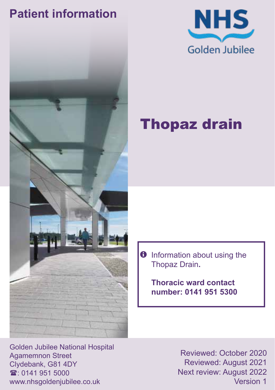# **Patient information**





# Thopaz drain

 $\bullet$  Information about using the Thopaz Drain**.**

> **Thoracic ward contact number: 0141 951 5300**

Golden Jubilee National Hospital Agamemnon Street Clydebank, G81 4DY  $\mathbf{\hat{x}}$  0141 951 5000 www.nhsgoldenjubilee.co.uk

Reviewed: October 2020 Reviewed: August 2021 Next review: August 2022 Version 1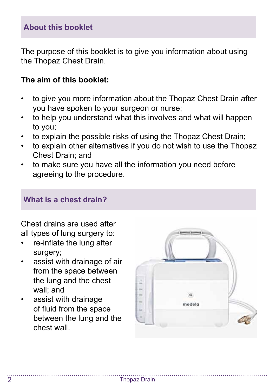### **About this booklet**

The purpose of this booklet is to give you information about using the Thopaz Chest Drain.

#### **The aim of this booklet:**

- to give you more information about the Thopaz Chest Drain after you have spoken to your surgeon or nurse;
- to help you understand what this involves and what will happen to you;
- to explain the possible risks of using the Thopaz Chest Drain;
- to explain other alternatives if you do not wish to use the Thopaz Chest Drain; and
- to make sure you have all the information you need before agreeing to the procedure.

#### **What is a chest drain?**

Chest drains are used after all types of lung surgery to:

- re-inflate the lung after surgery;
- assist with drainage of air from the space between the lung and the chest wall; and
- assist with drainage of fluid from the space between the lung and the chest wall.

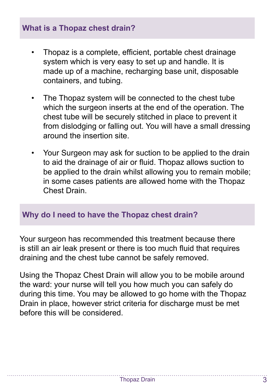### **What is a Thopaz chest drain?**

- Thopaz is a complete, efficient, portable chest drainage system which is very easy to set up and handle. It is made up of a machine, recharging base unit, disposable containers, and tubing.
- The Thopaz system will be connected to the chest tube which the surgeon inserts at the end of the operation. The chest tube will be securely stitched in place to prevent it from dislodging or falling out. You will have a small dressing around the insertion site.
- Your Surgeon may ask for suction to be applied to the drain to aid the drainage of air or fluid. Thopaz allows suction to be applied to the drain whilst allowing you to remain mobile; in some cases patients are allowed home with the Thopaz Chest Drain.

#### **Why do I need to have the Thopaz chest drain?**

Your surgeon has recommended this treatment because there is still an air leak present or there is too much fluid that requires draining and the chest tube cannot be safely removed.

Using the Thopaz Chest Drain will allow you to be mobile around the ward: your nurse will tell you how much you can safely do during this time. You may be allowed to go home with the Thopaz Drain in place, however strict criteria for discharge must be met before this will be considered.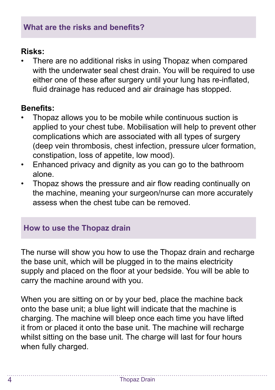### **Risks:**

There are no additional risks in using Thopaz when compared with the underwater seal chest drain. You will be required to use either one of these after surgery until your lung has re-inflated, fluid drainage has reduced and air drainage has stopped.

## **Benefits:**

- Thopaz allows you to be mobile while continuous suction is applied to your chest tube. Mobilisation will help to prevent other complications which are associated with all types of surgery (deep vein thrombosis, chest infection, pressure ulcer formation, constipation, loss of appetite, low mood).
- Enhanced privacy and dignity as you can go to the bathroom alone.
- Thopaz shows the pressure and air flow reading continually on the machine, meaning your surgeon/nurse can more accurately assess when the chest tube can be removed.

### **How to use the Thopaz drain**

The nurse will show you how to use the Thopaz drain and recharge the base unit, which will be plugged in to the mains electricity supply and placed on the floor at your bedside. You will be able to carry the machine around with you.

When you are sitting on or by your bed, place the machine back onto the base unit; a blue light will indicate that the machine is charging. The machine will bleep once each time you have lifted it from or placed it onto the base unit. The machine will recharge whilst sitting on the base unit. The charge will last for four hours when fully charged.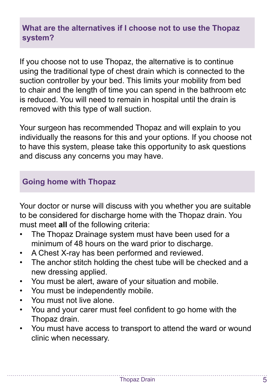### **What are the alternatives if I choose not to use the Thopaz system?**

If you choose not to use Thopaz, the alternative is to continue using the traditional type of chest drain which is connected to the suction controller by your bed. This limits your mobility from bed to chair and the length of time you can spend in the bathroom etc is reduced. You will need to remain in hospital until the drain is removed with this type of wall suction.

Your surgeon has recommended Thopaz and will explain to you individually the reasons for this and your options. If you choose not to have this system, please take this opportunity to ask questions and discuss any concerns you may have.

#### **Going home with Thopaz**

Your doctor or nurse will discuss with you whether you are suitable to be considered for discharge home with the Thopaz drain. You must meet **all** of the following criteria:

- The Thopaz Drainage system must have been used for a minimum of 48 hours on the ward prior to discharge.
- A Chest X-ray has been performed and reviewed.
- The anchor stitch holding the chest tube will be checked and a new dressing applied.
- You must be alert, aware of your situation and mobile.
- You must be independently mobile.
- You must not live alone.
- You and your carer must feel confident to go home with the Thopaz drain.
- You must have access to transport to attend the ward or wound clinic when necessary.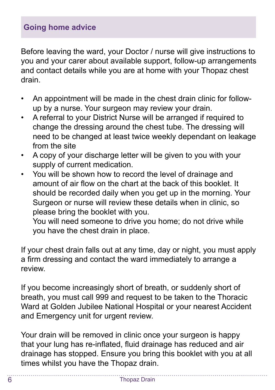### **Going home advice**

Before leaving the ward, your Doctor / nurse will give instructions to you and your carer about available support, follow-up arrangements and contact details while you are at home with your Thopaz chest drain.

- An appointment will be made in the chest drain clinic for followup by a nurse. Your surgeon may review your drain.
- A referral to your District Nurse will be arranged if required to change the dressing around the chest tube. The dressing will need to be changed at least twice weekly dependant on leakage from the site
- A copy of your discharge letter will be given to you with your supply of current medication.
- You will be shown how to record the level of drainage and amount of air flow on the chart at the back of this booklet. It should be recorded daily when you get up in the morning. Your Surgeon or nurse will review these details when in clinic, so please bring the booklet with you.

You will need someone to drive you home; do not drive while you have the chest drain in place.

If your chest drain falls out at any time, day or night, you must apply a firm dressing and contact the ward immediately to arrange a review.

If you become increasingly short of breath, or suddenly short of breath, you must call 999 and request to be taken to the Thoracic Ward at Golden Jubilee National Hospital or your nearest Accident and Emergency unit for urgent review.

Your drain will be removed in clinic once your surgeon is happy that your lung has re-inflated, fluid drainage has reduced and air drainage has stopped. Ensure you bring this booklet with you at all times whilst you have the Thopaz drain.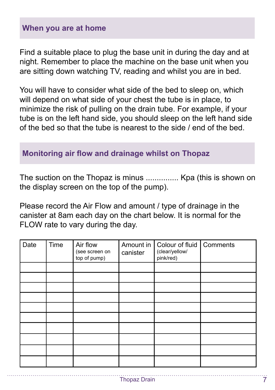#### **When you are at home**

Find a suitable place to plug the base unit in during the day and at night. Remember to place the machine on the base unit when you are sitting down watching TV, reading and whilst you are in bed.

You will have to consider what side of the bed to sleep on, which will depend on what side of your chest the tube is in place, to minimize the risk of pulling on the drain tube. For example, if your tube is on the left hand side, you should sleep on the left hand side of the bed so that the tube is nearest to the side / end of the bed.

#### **Monitoring air flow and drainage whilst on Thopaz**

The suction on the Thopaz is minus ............... Kpa (this is shown on the display screen on the top of the pump).

Please record the Air Flow and amount / type of drainage in the canister at 8am each day on the chart below. It is normal for the FLOW rate to vary during the day.

| Date | Time | Air flow<br>(see screen on<br>top of pump) | Amount in<br>canister | Colour of fluid<br>(clear/yellow/<br>pink/red) | Comments |
|------|------|--------------------------------------------|-----------------------|------------------------------------------------|----------|
|      |      |                                            |                       |                                                |          |
|      |      |                                            |                       |                                                |          |
|      |      |                                            |                       |                                                |          |
|      |      |                                            |                       |                                                |          |
|      |      |                                            |                       |                                                |          |
|      |      |                                            |                       |                                                |          |
|      |      |                                            |                       |                                                |          |
|      |      |                                            |                       |                                                |          |
|      |      |                                            |                       |                                                |          |
|      |      |                                            |                       |                                                |          |

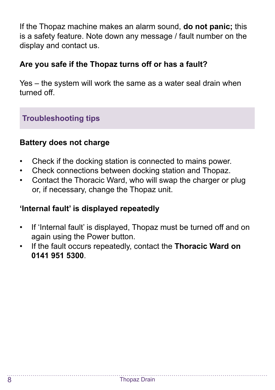If the Thopaz machine makes an alarm sound, **do not panic;** this is a safety feature. Note down any message / fault number on the display and contact us.

#### **Are you safe if the Thopaz turns off or has a fault?**

Yes – the system will work the same as a water seal drain when turned off.

## **Troubleshooting tips**

#### **Battery does not charge**

- Check if the docking station is connected to mains power.
- Check connections between docking station and Thopaz.
- Contact the Thoracic Ward, who will swap the charger or plug or, if necessary, change the Thopaz unit.

#### **'Internal fault' is displayed repeatedly**

- If 'Internal fault' is displayed, Thopaz must be turned off and on again using the Power button.
- If the fault occurs repeatedly, contact the **Thoracic Ward on 0141 951 5300**.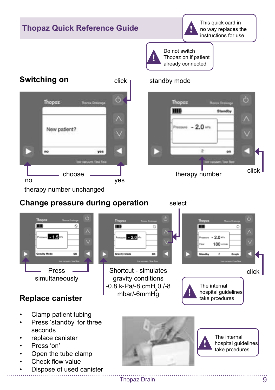

#### Thopaz Drain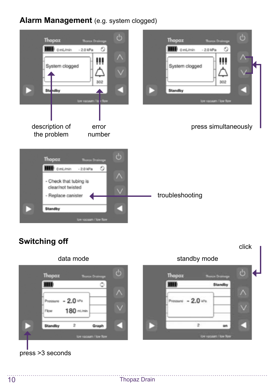#### **Alarm Management** (e.g. system clogged)





#### press >3 seconds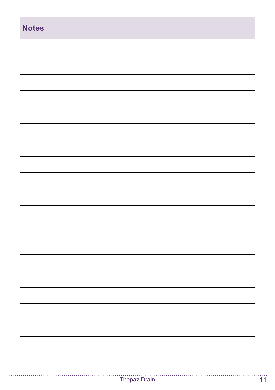| <b>Notes</b> |              |
|--------------|--------------|
|              |              |
|              |              |
|              |              |
|              |              |
|              |              |
|              |              |
|              |              |
|              |              |
|              |              |
|              |              |
|              |              |
|              |              |
|              |              |
|              |              |
|              |              |
|              |              |
|              |              |
|              | Thopaz Drain |